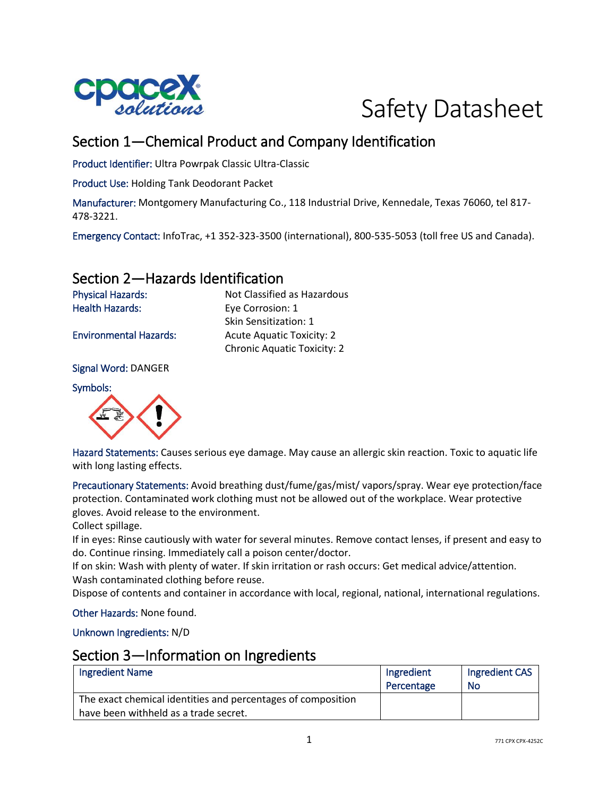



# Section 1—Chemical Product and Company Identification

Product Identifier: Ultra Powrpak Classic Ultra-Classic

Product Use: Holding Tank Deodorant Packet

Manufacturer: Montgomery Manufacturing Co., 118 Industrial Drive, Kennedale, Texas 76060, tel 817- 478-3221.

Emergency Contact: InfoTrac, +1 352-323-3500 (international), 800-535-5053 (toll free US and Canada).

## Section 2—Hazards Identification

Physical Hazards: Not Classified as Hazardous Health Hazards: Eye Corrosion: 1 Skin Sensitization: 1 Environmental Hazards: Acute Aquatic Toxicity: 2 Chronic Aquatic Toxicity: 2

Signal Word: DANGER

Symbols:



Hazard Statements: Causes serious eye damage. May cause an allergic skin reaction. Toxic to aquatic life with long lasting effects.

Precautionary Statements: Avoid breathing dust/fume/gas/mist/ vapors/spray. Wear eye protection/face protection. Contaminated work clothing must not be allowed out of the workplace. Wear protective gloves. Avoid release to the environment.

Collect spillage.

If in eyes: Rinse cautiously with water for several minutes. Remove contact lenses, if present and easy to do. Continue rinsing. Immediately call a poison center/doctor.

If on skin: Wash with plenty of water. If skin irritation or rash occurs: Get medical advice/attention. Wash contaminated clothing before reuse.

Dispose of contents and container in accordance with local, regional, national, international regulations.

Other Hazards: None found.

Unknown Ingredients: N/D

#### Section 3—Information on Ingredients

| <b>Ingredient Name</b>                                       | Ingredient | Ingredient CAS |
|--------------------------------------------------------------|------------|----------------|
|                                                              | Percentage | No             |
| The exact chemical identities and percentages of composition |            |                |
| have been withheld as a trade secret.                        |            |                |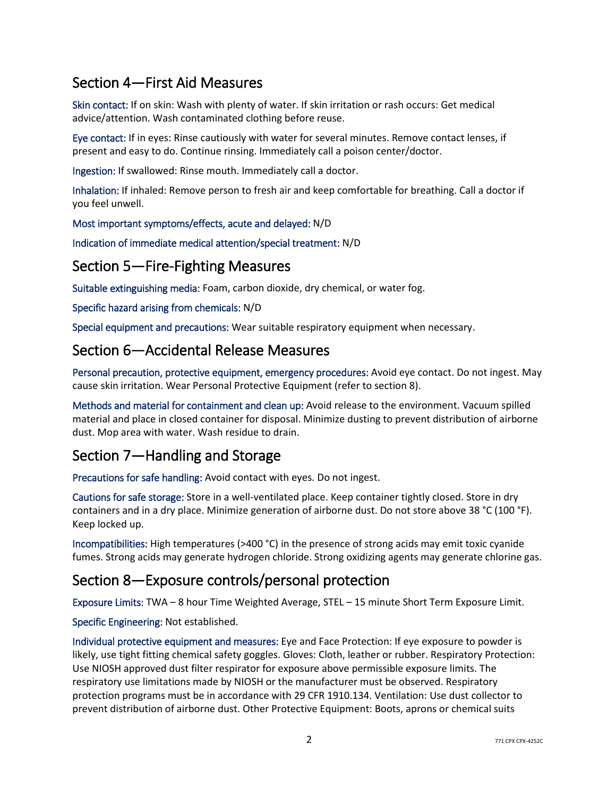# Section 4—First Aid Measures

Skin contact: If on skin: Wash with plenty of water. If skin irritation or rash occurs: Get medical advice/attention. Wash contaminated clothing before reuse.

Eye contact: If in eyes: Rinse cautiously with water for several minutes. Remove contact lenses, if present and easy to do. Continue rinsing. Immediately call a poison center/doctor.

Ingestion: If swallowed: Rinse mouth. Immediately call a doctor.

Inhalation: If inhaled: Remove person to fresh air and keep comfortable for breathing. Call a doctor if you feel unwell.

Most important symptoms/effects, acute and delayed: N/D

Indication of immediate medical attention/special treatment: N/D

## Section 5—Fire-Fighting Measures

Suitable extinguishing media: Foam, carbon dioxide, dry chemical, or water fog.

Specific hazard arising from chemicals: N/D

Special equipment and precautions: Wear suitable respiratory equipment when necessary.

## Section 6—Accidental Release Measures

Personal precaution, protective equipment, emergency procedures: Avoid eye contact. Do not ingest. May cause skin irritation. Wear Personal Protective Equipment (refer to section 8).

Methods and material for containment and clean up: Avoid release to the environment. Vacuum spilled material and place in closed container for disposal. Minimize dusting to prevent distribution of airborne dust. Mop area with water. Wash residue to drain.

# Section 7—Handling and Storage

Precautions for safe handling: Avoid contact with eyes. Do not ingest.

Cautions for safe storage: Store in a well-ventilated place. Keep container tightly closed. Store in dry containers and in a dry place. Minimize generation of airborne dust. Do not store above 38 °C (100 °F). Keep locked up.

Incompatibilities: High temperatures (>400 °C) in the presence of strong acids may emit toxic cyanide fumes. Strong acids may generate hydrogen chloride. Strong oxidizing agents may generate chlorine gas.

# Section 8—Exposure controls/personal protection

Exposure Limits: TWA – 8 hour Time Weighted Average, STEL – 15 minute Short Term Exposure Limit.

#### Specific Engineering: Not established.

Individual protective equipment and measures: Eye and Face Protection: If eye exposure to powder is likely, use tight fitting chemical safety goggles. Gloves: Cloth, leather or rubber. Respiratory Protection: Use NIOSH approved dust filter respirator for exposure above permissible exposure limits. The respiratory use limitations made by NIOSH or the manufacturer must be observed. Respiratory protection programs must be in accordance with 29 CFR 1910.134. Ventilation: Use dust collector to prevent distribution of airborne dust. Other Protective Equipment: Boots, aprons or chemical suits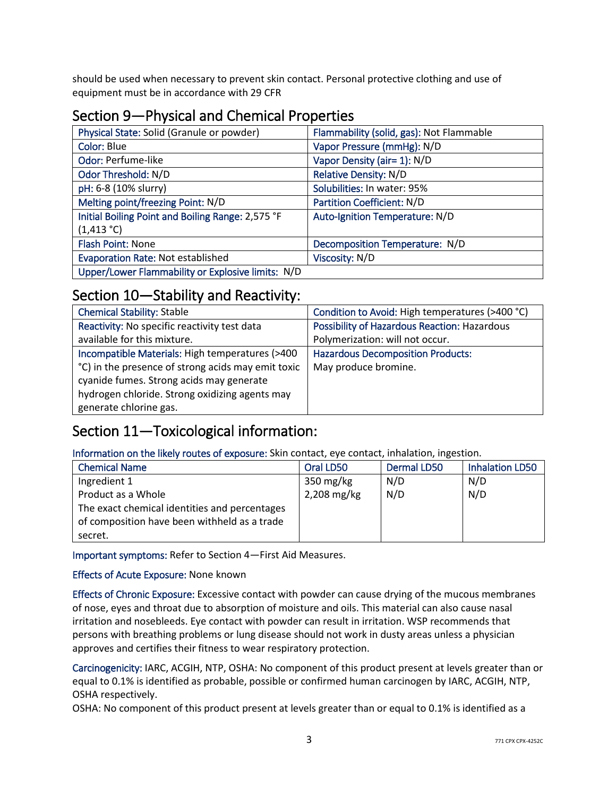should be used when necessary to prevent skin contact. Personal protective clothing and use of equipment must be in accordance with 29 CFR

# Section 9—Physical and Chemical Properties

| Physical State: Solid (Granule or powder)         | Flammability (solid, gas): Not Flammable |
|---------------------------------------------------|------------------------------------------|
| Color: Blue                                       | Vapor Pressure (mmHg): N/D               |
| Odor: Perfume-like                                | Vapor Density (air= 1): N/D              |
| Odor Threshold: N/D                               | Relative Density: N/D                    |
| pH: 6-8 (10% slurry)                              | Solubilities: In water: 95%              |
| Melting point/freezing Point: N/D                 | Partition Coefficient: N/D               |
| Initial Boiling Point and Boiling Range: 2,575 °F | Auto-Ignition Temperature: N/D           |
| $(1,413 \degree C)$                               |                                          |
| Flash Point: None                                 | Decomposition Temperature: N/D           |
| Evaporation Rate: Not established                 | Viscosity: N/D                           |
| Upper/Lower Flammability or Explosive limits: N/D |                                          |

## Section 10—Stability and Reactivity:

| <b>Chemical Stability: Stable</b>                  | Condition to Avoid: High temperatures (>400 °C) |
|----------------------------------------------------|-------------------------------------------------|
| Reactivity: No specific reactivity test data       | Possibility of Hazardous Reaction: Hazardous    |
| available for this mixture.                        | Polymerization: will not occur.                 |
| Incompatible Materials: High temperatures (>400    | <b>Hazardous Decomposition Products:</b>        |
| °C) in the presence of strong acids may emit toxic | May produce bromine.                            |
| cyanide fumes. Strong acids may generate           |                                                 |
| hydrogen chloride. Strong oxidizing agents may     |                                                 |
| generate chlorine gas.                             |                                                 |

# Section 11—Toxicological information:

Information on the likely routes of exposure: Skin contact, eye contact, inhalation, ingestion.

| <b>Chemical Name</b>                          | Oral LD50   | Dermal LD50 | <b>Inhalation LD50</b> |
|-----------------------------------------------|-------------|-------------|------------------------|
| Ingredient 1                                  | 350 $mg/kg$ | N/D         | N/D                    |
| Product as a Whole                            | 2,208 mg/kg | N/D         | N/D                    |
| The exact chemical identities and percentages |             |             |                        |
| of composition have been withheld as a trade  |             |             |                        |
| secret.                                       |             |             |                        |

Important symptoms: Refer to Section 4—First Aid Measures.

Effects of Acute Exposure: None known

Effects of Chronic Exposure: Excessive contact with powder can cause drying of the mucous membranes of nose, eyes and throat due to absorption of moisture and oils. This material can also cause nasal irritation and nosebleeds. Eye contact with powder can result in irritation. WSP recommends that persons with breathing problems or lung disease should not work in dusty areas unless a physician approves and certifies their fitness to wear respiratory protection.

Carcinogenicity: IARC, ACGIH, NTP, OSHA: No component of this product present at levels greater than or equal to 0.1% is identified as probable, possible or confirmed human carcinogen by IARC, ACGIH, NTP, OSHA respectively.

OSHA: No component of this product present at levels greater than or equal to 0.1% is identified as a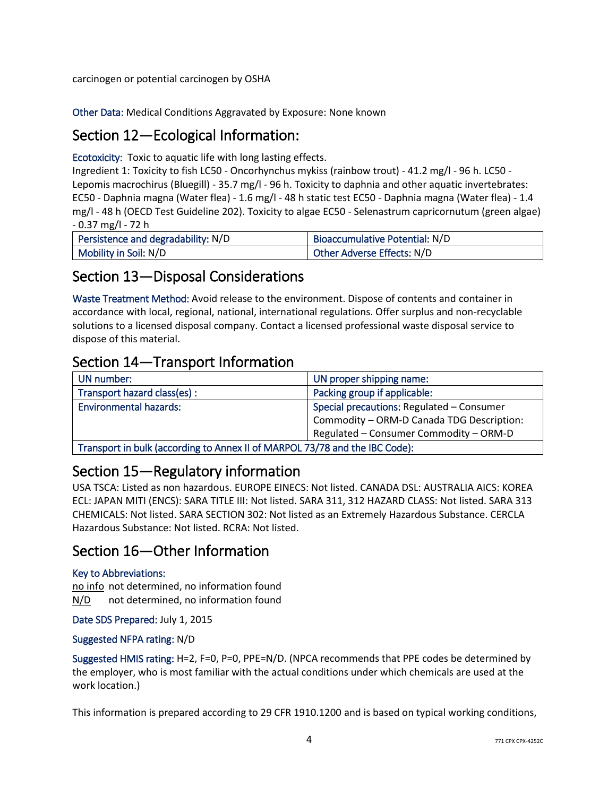carcinogen or potential carcinogen by OSHA

Other Data: Medical Conditions Aggravated by Exposure: None known

## Section 12—Ecological Information:

Ecotoxicity: Toxic to aquatic life with long lasting effects.

Ingredient 1: Toxicity to fish LC50 - Oncorhynchus mykiss (rainbow trout) - 41.2 mg/l - 96 h. LC50 - Lepomis macrochirus (Bluegill) - 35.7 mg/l - 96 h. Toxicity to daphnia and other aquatic invertebrates: EC50 - Daphnia magna (Water flea) - 1.6 mg/l - 48 h static test EC50 - Daphnia magna (Water flea) - 1.4 mg/l - 48 h (OECD Test Guideline 202). Toxicity to algae EC50 - Selenastrum capricornutum (green algae) - 0.37 mg/l - 72 h

| Persistence and degradability: N/D | <b>Bioaccumulative Potential: N/D</b> |
|------------------------------------|---------------------------------------|
| Mobility in Soil: N/D              | Other Adverse Effects: N/D            |

## Section 13—Disposal Considerations

Waste Treatment Method: Avoid release to the environment. Dispose of contents and container in accordance with local, regional, national, international regulations. Offer surplus and non-recyclable solutions to a licensed disposal company. Contact a licensed professional waste disposal service to dispose of this material.

## Section 14—Transport Information

| UN number:                                                                  | UN proper shipping name:                  |
|-----------------------------------------------------------------------------|-------------------------------------------|
| Transport hazard class(es):                                                 | Packing group if applicable:              |
| <b>Environmental hazards:</b>                                               | Special precautions: Regulated - Consumer |
|                                                                             | Commodity - ORM-D Canada TDG Description: |
|                                                                             | Regulated - Consumer Commodity - ORM-D    |
| Transport in bulk (according to Annex II of MARPOL 73/78 and the IBC Code): |                                           |

## Section 15—Regulatory information

USA TSCA: Listed as non hazardous. EUROPE EINECS: Not listed. CANADA DSL: AUSTRALIA AICS: KOREA ECL: JAPAN MITI (ENCS): SARA TITLE III: Not listed. SARA 311, 312 HAZARD CLASS: Not listed. SARA 313 CHEMICALS: Not listed. SARA SECTION 302: Not listed as an Extremely Hazardous Substance. CERCLA Hazardous Substance: Not listed. RCRA: Not listed.

# Section 16—Other Information

#### Key to Abbreviations:

no info not determined, no information found N/D not determined, no information found

Date SDS Prepared: July 1, 2015

#### Suggested NFPA rating: N/D

Suggested HMIS rating: H=2, F=0, P=0, PPE=N/D. (NPCA recommends that PPE codes be determined by the employer, who is most familiar with the actual conditions under which chemicals are used at the work location.)

This information is prepared according to 29 CFR 1910.1200 and is based on typical working conditions,